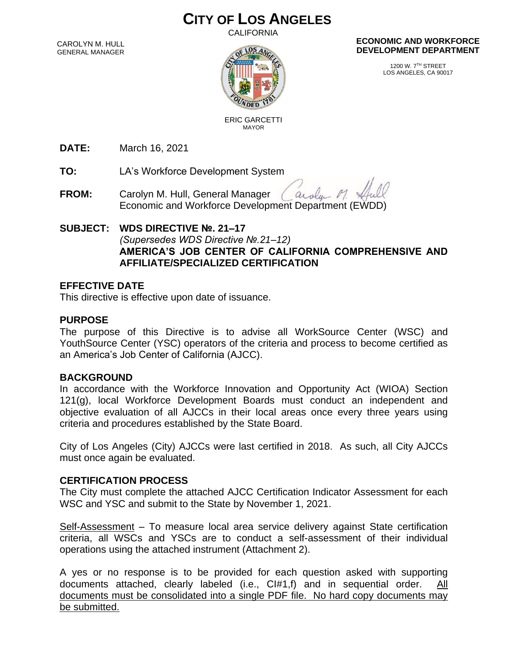# **CITY OF LOS ANGELES**

**CALIFORNIA** 

CAROLYN M. HULL GENERAL MANAGER



 ERIC GARCETTI MAYOR

#### **ECONOMIC AND WORKFORCE DEVELOPMENT DEPARTMENT**

1200 W. 7TH STREET LOS ANGELES, CA 90017

**DATE:** March 16, 2021

**TO:** LA's Workforce Development System

**FROM:** Carolyn M. Hull, General Manager arola Economic and Workforce Development Department (EWDD)

### **SUBJECT: WDS DIRECTIVE №. 21–17** *(Supersedes WDS Directive №.21–12)* **AMERICA'S JOB CENTER OF CALIFORNIA COMPREHENSIVE AND AFFILIATE/SPECIALIZED CERTIFICATION**

### **EFFECTIVE DATE**

This directive is effective upon date of issuance.

### **PURPOSE**

The purpose of this Directive is to advise all WorkSource Center (WSC) and YouthSource Center (YSC) operators of the criteria and process to become certified as an America's Job Center of California (AJCC).

### **BACKGROUND**

In accordance with the Workforce Innovation and Opportunity Act (WIOA) Section 121(g), local Workforce Development Boards must conduct an independent and objective evaluation of all AJCCs in their local areas once every three years using criteria and procedures established by the State Board.

City of Los Angeles (City) AJCCs were last certified in 2018. As such, all City AJCCs must once again be evaluated.

#### **CERTIFICATION PROCESS**

The City must complete the attached AJCC Certification Indicator Assessment for each WSC and YSC and submit to the State by November 1, 2021.

Self-Assessment – To measure local area service delivery against State certification criteria, all WSCs and YSCs are to conduct a self-assessment of their individual operations using the attached instrument (Attachment 2).

A yes or no response is to be provided for each question asked with supporting documents attached, clearly labeled (i.e.,  $Cl#1,f$ ) and in sequential order.  $\frac{All}{=}$ documents must be consolidated into a single PDF file. No hard copy documents may be submitted.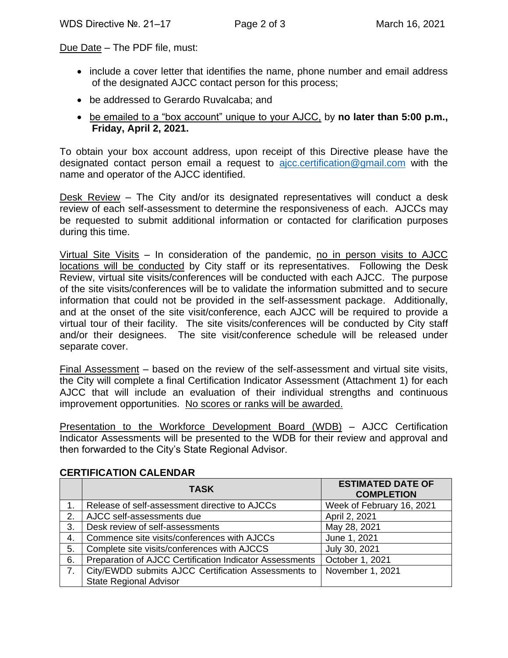Due Date - The PDF file, must:

- include a cover letter that identifies the name, phone number and email address of the designated AJCC contact person for this process;
- be addressed to Gerardo Ruvalcaba; and
- be emailed to a "box account" unique to your AJCC, by **no later than 5:00 p.m., Friday, April 2, 2021.**

To obtain your box account address, upon receipt of this Directive please have the designated contact person email a request to  $a$  *jcc.certification* @gmail.com with the name and operator of the AJCC identified.

Desk Review – The City and/or its designated representatives will conduct a desk review of each self-assessment to determine the responsiveness of each. AJCCs may be requested to submit additional information or contacted for clarification purposes during this time.

Virtual Site Visits – In consideration of the pandemic, no in person visits to AJCC locations will be conducted by City staff or its representatives. Following the Desk Review, virtual site visits/conferences will be conducted with each AJCC. The purpose of the site visits/conferences will be to validate the information submitted and to secure information that could not be provided in the self-assessment package. Additionally, and at the onset of the site visit/conference, each AJCC will be required to provide a virtual tour of their facility. The site visits/conferences will be conducted by City staff and/or their designees. The site visit/conference schedule will be released under separate cover.

Final Assessment – based on the review of the self-assessment and virtual site visits, the City will complete a final Certification Indicator Assessment (Attachment 1) for each AJCC that will include an evaluation of their individual strengths and continuous improvement opportunities. No scores or ranks will be awarded.

Presentation to the Workforce Development Board (WDB) – AJCC Certification Indicator Assessments will be presented to the WDB for their review and approval and then forwarded to the City's State Regional Advisor.

|    | <b>TASK</b>                                             | <b>ESTIMATED DATE OF</b><br><b>COMPLETION</b> |
|----|---------------------------------------------------------|-----------------------------------------------|
|    | Release of self-assessment directive to AJCCs           | Week of February 16, 2021                     |
| 2. | AJCC self-assessments due                               | April 2, 2021                                 |
| 3. | Desk review of self-assessments                         | May 28, 2021                                  |
| 4. | Commence site visits/conferences with AJCCs             | June 1, 2021                                  |
| 5. | Complete site visits/conferences with AJCCS             | July 30, 2021                                 |
| 6. | Preparation of AJCC Certification Indicator Assessments | October 1, 2021                               |
| 7. | City/EWDD submits AJCC Certification Assessments to     | November 1, 2021                              |
|    | <b>State Regional Advisor</b>                           |                                               |

### **CERTIFICATION CALENDAR**